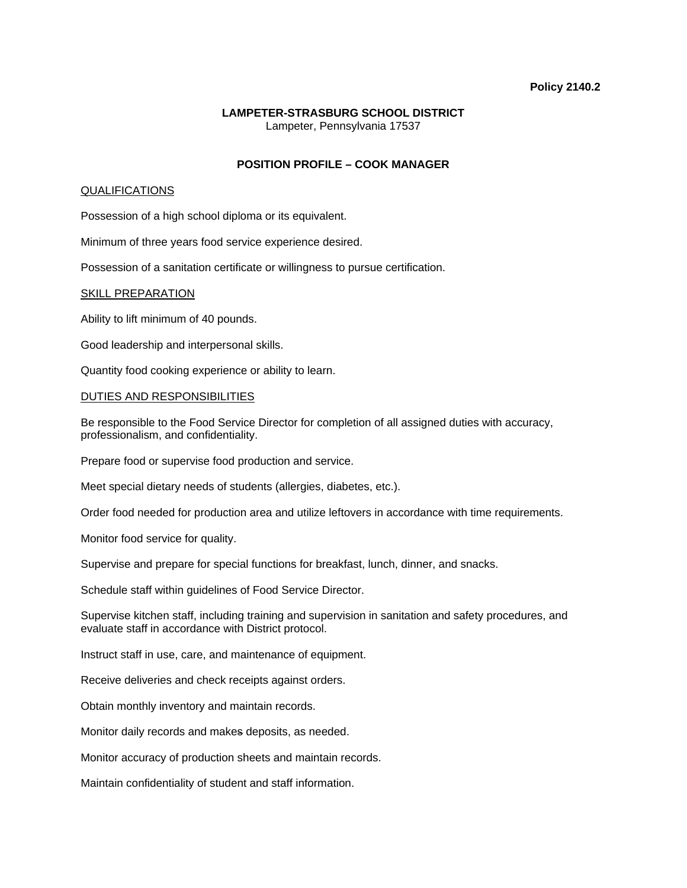### **Policy 2140.2**

### **LAMPETER-STRASBURG SCHOOL DISTRICT**  Lampeter, Pennsylvania 17537

## **POSITION PROFILE – COOK MANAGER**

### QUALIFICATIONS

Possession of a high school diploma or its equivalent.

Minimum of three years food service experience desired.

Possession of a sanitation certificate or willingness to pursue certification.

#### SKILL PREPARATION

Ability to lift minimum of 40 pounds.

Good leadership and interpersonal skills.

Quantity food cooking experience or ability to learn.

#### DUTIES AND RESPONSIBILITIES

Be responsible to the Food Service Director for completion of all assigned duties with accuracy, professionalism, and confidentiality.

Prepare food or supervise food production and service.

Meet special dietary needs of students (allergies, diabetes, etc.).

Order food needed for production area and utilize leftovers in accordance with time requirements.

Monitor food service for quality.

Supervise and prepare for special functions for breakfast, lunch, dinner, and snacks.

Schedule staff within guidelines of Food Service Director.

Supervise kitchen staff, including training and supervision in sanitation and safety procedures, and evaluate staff in accordance with District protocol.

Instruct staff in use, care, and maintenance of equipment.

Receive deliveries and check receipts against orders.

Obtain monthly inventory and maintain records.

Monitor daily records and makes deposits, as needed.

Monitor accuracy of production sheets and maintain records.

Maintain confidentiality of student and staff information.